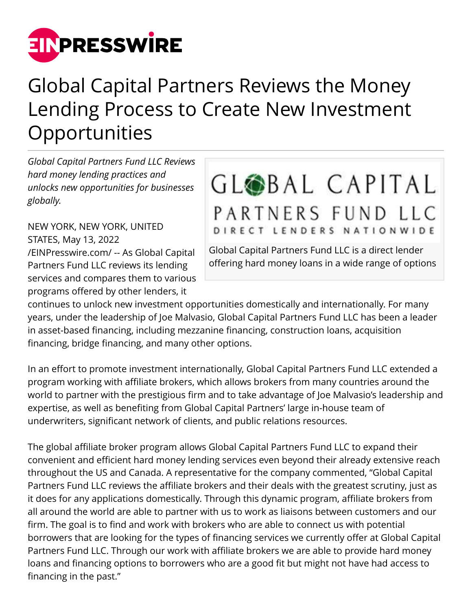

## Global Capital Partners Reviews the Money Lending Process to Create New Investment **Opportunities**

*Global Capital Partners Fund LLC Reviews hard money lending practices and unlocks new opportunities for businesses globally.*

NEW YORK, NEW YORK, UNITED STATES, May 13, 2022 [/EINPresswire.com/](http://www.einpresswire.com) -- As Global Capital Partners Fund LLC reviews its lending services and compares them to various programs offered by other lenders, it

## GLOBAL CAPITAL PARTNERS FUND LLC DIRECT LENDERS NATIONWIDE

Global Capital Partners Fund LLC is a direct lender offering hard money loans in a wide range of options

continues to unlock new investment opportunities domestically and internationally. For many years, under the leadership of Joe Malvasio, Global Capital Partners Fund LLC has been a leader in asset-based financing, including mezzanine financing, construction loans, acquisition financing, bridge financing, and many other options.

In an effort to promote investment internationally, Global Capital Partners Fund LLC extended a program working with affiliate brokers, which allows brokers from many countries around the world to partner with the prestigious firm and to take advantage of Joe Malvasio's leadership and expertise, as well as benefiting from Global Capital Partners' large in-house team of underwriters, significant network of clients, and public relations resources.

The global affiliate broker program allows Global Capital Partners Fund LLC to expand their convenient and efficient hard money lending services even beyond their already extensive reach throughout the US and Canada. A representative for the company commented, "Global Capital Partners Fund LLC reviews the affiliate brokers and their deals with the greatest scrutiny, just as it does for any applications domestically. Through this dynamic program, affiliate brokers from all around the world are able to partner with us to work as liaisons between customers and our firm. The goal is to find and work with brokers who are able to connect us with potential borrowers that are looking for the types of financing services we currently offer at Global Capital Partners Fund LLC. Through our work with affiliate brokers we are able to provide hard money loans and financing options to borrowers who are a good fit but might not have had access to financing in the past."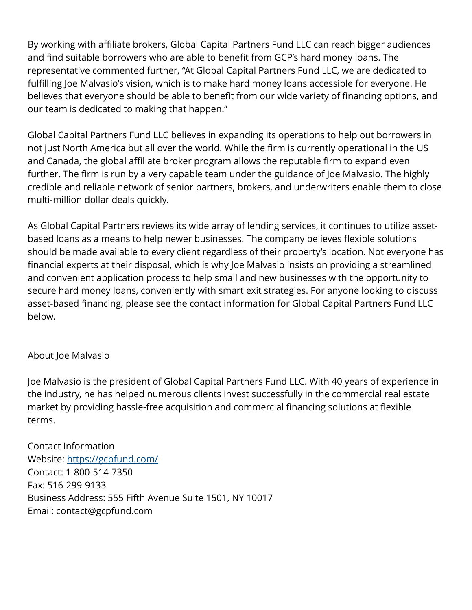By working with affiliate brokers, Global Capital Partners Fund LLC can reach bigger audiences and find suitable borrowers who are able to benefit from GCP's hard money loans. The representative commented further, "At Global Capital Partners Fund LLC, we are dedicated to fulfilling Joe Malvasio's vision, which is to make hard money loans accessible for everyone. He believes that everyone should be able to benefit from our wide variety of financing options, and our team is dedicated to making that happen."

Global Capital Partners Fund LLC believes in expanding its operations to help out borrowers in not just North America but all over the world. While the firm is currently operational in the US and Canada, the global affiliate broker program allows the reputable firm to expand even further. The firm is run by a very capable team under the guidance of Joe Malvasio. The highly credible and reliable network of senior partners, brokers, and underwriters enable them to close multi-million dollar deals quickly.

As Global Capital Partners reviews its wide array of lending services, it continues to utilize assetbased loans as a means to help newer businesses. The company believes flexible solutions should be made available to every client regardless of their property's location. Not everyone has financial experts at their disposal, which is why Joe Malvasio insists on providing a streamlined and convenient application process to help small and new businesses with the opportunity to secure hard money loans, conveniently with smart exit strategies. For anyone looking to discuss asset-based financing, please see the contact information for Global Capital Partners Fund LLC below.

## About Joe Malvasio

Joe Malvasio is the president of Global Capital Partners Fund LLC. With 40 years of experience in the industry, he has helped numerous clients invest successfully in the commercial real estate market by providing hassle-free acquisition and commercial financing solutions at flexible terms.

Contact Information Website: <https://gcpfund.com/> Contact: 1-800-514-7350 Fax: 516-299-9133 Business Address: 555 Fifth Avenue Suite 1501, NY 10017 Email: contact@gcpfund.com